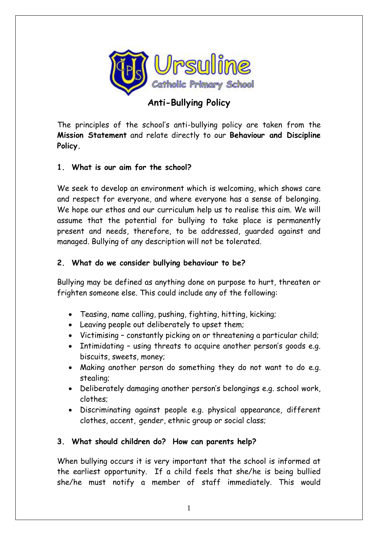

# **Anti-Bullying Policy**

The principles of the school's anti-bullying policy are taken from the **Mission Statement** and relate directly to our **Behaviour and Discipline Policy.**

## **1. What is our aim for the school?**

We seek to develop an environment which is welcoming, which shows care and respect for everyone, and where everyone has a sense of belonging. We hope our ethos and our curriculum help us to realise this aim. We will assume that the potential for bullying to take place is permanently present and needs, therefore, to be addressed, guarded against and managed. Bullying of any description will not be tolerated.

#### **2. What do we consider bullying behaviour to be?**

Bullying may be defined as anything done on purpose to hurt, threaten or frighten someone else. This could include any of the following:

- Teasing, name calling, pushing, fighting, hitting, kicking;
- Leaving people out deliberately to upset them;
- Victimising constantly picking on or threatening a particular child;
- Intimidating using threats to acquire another person's goods e.g. biscuits, sweets, money;
- Making another person do something they do not want to do e.g. stealing;
- Deliberately damaging another person's belongings e.g. school work, clothes;
- Discriminating against people e.g. physical appearance, different clothes, accent, gender, ethnic group or social class;

#### **3. What should children do? How can parents help?**

When bullying occurs it is very important that the school is informed at the earliest opportunity. If a child feels that she/he is being bullied she/he must notify a member of staff immediately. This would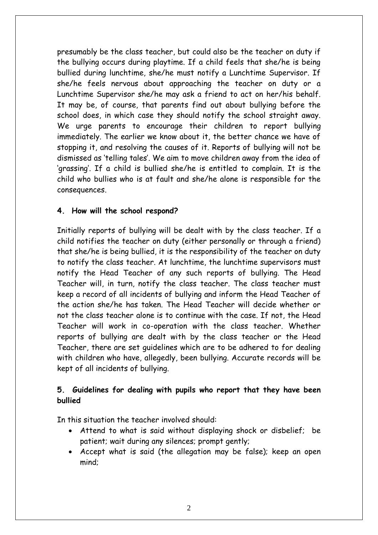presumably be the class teacher, but could also be the teacher on duty if the bullying occurs during playtime. If a child feels that she/he is being bullied during lunchtime, she/he must notify a Lunchtime Supervisor. If she/he feels nervous about approaching the teacher on duty or a Lunchtime Supervisor she/he may ask a friend to act on her/his behalf. It may be, of course, that parents find out about bullying before the school does, in which case they should notify the school straight away. We urge parents to encourage their children to report bullying immediately. The earlier we know about it, the better chance we have of stopping it, and resolving the causes of it. Reports of bullying will not be dismissed as 'telling tales'. We aim to move children away from the idea of 'grassing'. If a child is bullied she/he is entitled to complain. It is the child who bullies who is at fault and she/he alone is responsible for the consequences.

#### **4. How will the school respond?**

Initially reports of bullying will be dealt with by the class teacher. If a child notifies the teacher on duty (either personally or through a friend) that she/he is being bullied, it is the responsibility of the teacher on duty to notify the class teacher. At lunchtime, the lunchtime supervisors must notify the Head Teacher of any such reports of bullying. The Head Teacher will, in turn, notify the class teacher. The class teacher must keep a record of all incidents of bullying and inform the Head Teacher of the action she/he has taken. The Head Teacher will decide whether or not the class teacher alone is to continue with the case. If not, the Head Teacher will work in co-operation with the class teacher. Whether reports of bullying are dealt with by the class teacher or the Head Teacher, there are set guidelines which are to be adhered to for dealing with children who have, allegedly, been bullying. Accurate records will be kept of all incidents of bullying.

#### **5. Guidelines for dealing with pupils who report that they have been bullied**

In this situation the teacher involved should:

- Attend to what is said without displaying shock or disbelief; be patient; wait during any silences; prompt gently;
- Accept what is said (the allegation may be false); keep an open mind;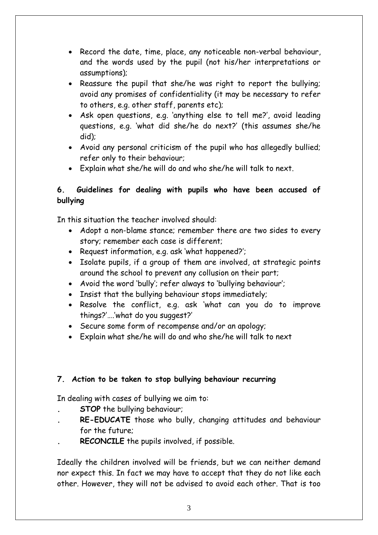- Record the date, time, place, any noticeable non-verbal behaviour, and the words used by the pupil (not his/her interpretations or assumptions);
- Reassure the pupil that she/he was right to report the bullying; avoid any promises of confidentiality (it may be necessary to refer to others, e.g. other staff, parents etc);
- Ask open questions, e.g. 'anything else to tell me?', avoid leading questions, e.g. 'what did she/he do next?' (this assumes she/he did);
- Avoid any personal criticism of the pupil who has allegedly bullied; refer only to their behaviour;
- Explain what she/he will do and who she/he will talk to next.

# **6. Guidelines for dealing with pupils who have been accused of bullying**

In this situation the teacher involved should:

- Adopt a non-blame stance; remember there are two sides to every story; remember each case is different;
- Request information, e.g. ask 'what happened?';
- Isolate pupils, if a group of them are involved, at strategic points around the school to prevent any collusion on their part;
- Avoid the word 'bully'; refer always to 'bullying behaviour';
- Insist that the bullying behaviour stops immediately;
- Resolve the conflict, e.g. ask 'what can you do to improve things?'….'what do you suggest?'
- Secure some form of recompense and/or an apology;
- Explain what she/he will do and who she/he will talk to next

# **7. Action to be taken to stop bullying behaviour recurring**

In dealing with cases of bullying we aim to:

- **. STOP** the bullying behaviour;
- **. RE-EDUCATE** those who bully, changing attitudes and behaviour for the future;
- **. RECONCILE** the pupils involved, if possible.

Ideally the children involved will be friends, but we can neither demand nor expect this. In fact we may have to accept that they do not like each other. However, they will not be advised to avoid each other. That is too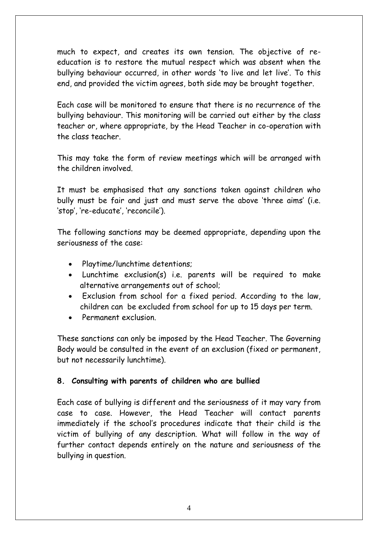much to expect, and creates its own tension. The objective of reeducation is to restore the mutual respect which was absent when the bullying behaviour occurred, in other words 'to live and let live'. To this end, and provided the victim agrees, both side may be brought together.

Each case will be monitored to ensure that there is no recurrence of the bullying behaviour. This monitoring will be carried out either by the class teacher or, where appropriate, by the Head Teacher in co-operation with the class teacher.

This may take the form of review meetings which will be arranged with the children involved.

It must be emphasised that any sanctions taken against children who bully must be fair and just and must serve the above 'three aims' (i.e. 'stop', 're-educate', 'reconcile').

The following sanctions may be deemed appropriate, depending upon the seriousness of the case:

- Playtime/lunchtime detentions;
- Lunchtime exclusion(s) i.e. parents will be required to make alternative arrangements out of school;
- Exclusion from school for a fixed period. According to the law, children can be excluded from school for up to 15 days per term.
- Permanent exclusion.

These sanctions can only be imposed by the Head Teacher. The Governing Body would be consulted in the event of an exclusion (fixed or permanent, but not necessarily lunchtime).

#### **8. Consulting with parents of children who are bullied**

Each case of bullying is different and the seriousness of it may vary from case to case. However, the Head Teacher will contact parents immediately if the school's procedures indicate that their child is the victim of bullying of any description. What will follow in the way of further contact depends entirely on the nature and seriousness of the bullying in question.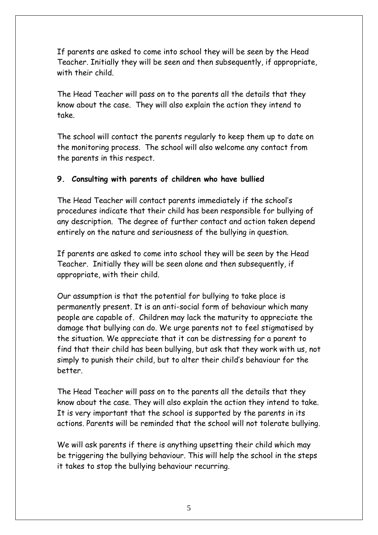If parents are asked to come into school they will be seen by the Head Teacher. Initially they will be seen and then subsequently, if appropriate, with their child.

The Head Teacher will pass on to the parents all the details that they know about the case. They will also explain the action they intend to take.

The school will contact the parents regularly to keep them up to date on the monitoring process. The school will also welcome any contact from the parents in this respect.

## **9. Consulting with parents of children who have bullied**

The Head Teacher will contact parents immediately if the school's procedures indicate that their child has been responsible for bullying of any description. The degree of further contact and action taken depend entirely on the nature and seriousness of the bullying in question.

If parents are asked to come into school they will be seen by the Head Teacher. Initially they will be seen alone and then subsequently, if appropriate, with their child.

Our assumption is that the potential for bullying to take place is permanently present. It is an anti-social form of behaviour which many people are capable of. Children may lack the maturity to appreciate the damage that bullying can do. We urge parents not to feel stigmatised by the situation. We appreciate that it can be distressing for a parent to find that their child has been bullying, but ask that they work with us, not simply to punish their child, but to alter their child's behaviour for the better.

The Head Teacher will pass on to the parents all the details that they know about the case. They will also explain the action they intend to take. It is very important that the school is supported by the parents in its actions. Parents will be reminded that the school will not tolerate bullying.

We will ask parents if there is anything upsetting their child which may be triggering the bullying behaviour. This will help the school in the steps it takes to stop the bullying behaviour recurring.